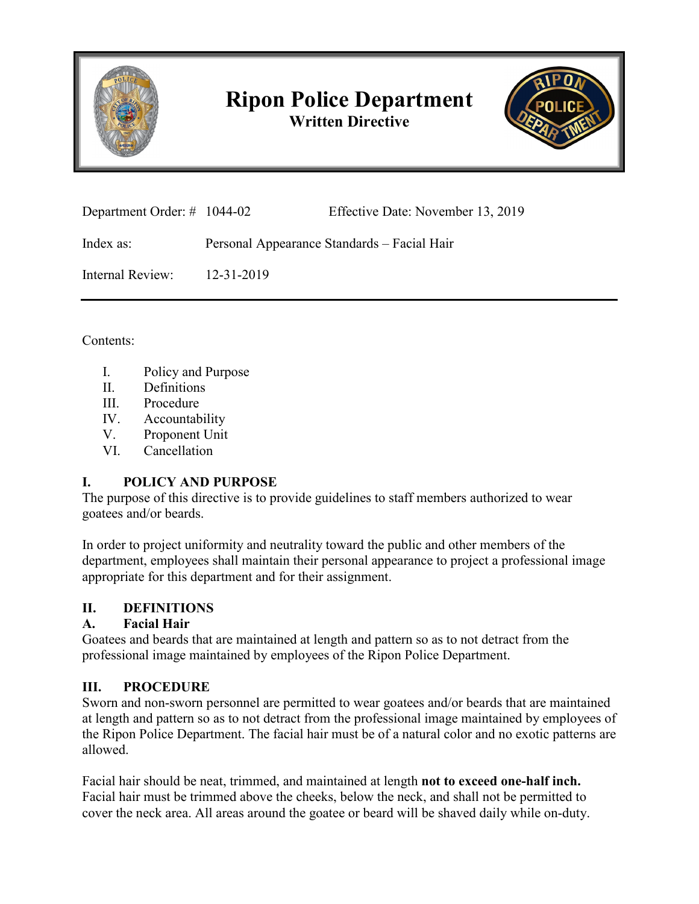

# **Ripon Police Department Written Directive**



| Department Order: $\#$ 1044-02 |  | Effective Date: November 13, 2019 |
|--------------------------------|--|-----------------------------------|
|--------------------------------|--|-----------------------------------|

Index as: Personal Appearance Standards – Facial Hair

Internal Review: 12-31-2019

Contents:

- I. Policy and Purpose
- II. Definitions
- III. Procedure
- IV. Accountability
- V. Proponent Unit
- VI. Cancellation

# **I. POLICY AND PURPOSE**

The purpose of this directive is to provide guidelines to staff members authorized to wear goatees and/or beards.

In order to project uniformity and neutrality toward the public and other members of the department, employees shall maintain their personal appearance to project a professional image appropriate for this department and for their assignment.

# **II. DEFINITIONS**

# **A. Facial Hair**

Goatees and beards that are maintained at length and pattern so as to not detract from the professional image maintained by employees of the Ripon Police Department.

# **III. PROCEDURE**

Sworn and non-sworn personnel are permitted to wear goatees and/or beards that are maintained at length and pattern so as to not detract from the professional image maintained by employees of the Ripon Police Department. The facial hair must be of a natural color and no exotic patterns are allowed.

Facial hair should be neat, trimmed, and maintained at length **not to exceed one-half inch.** Facial hair must be trimmed above the cheeks, below the neck, and shall not be permitted to cover the neck area. All areas around the goatee or beard will be shaved daily while on-duty.